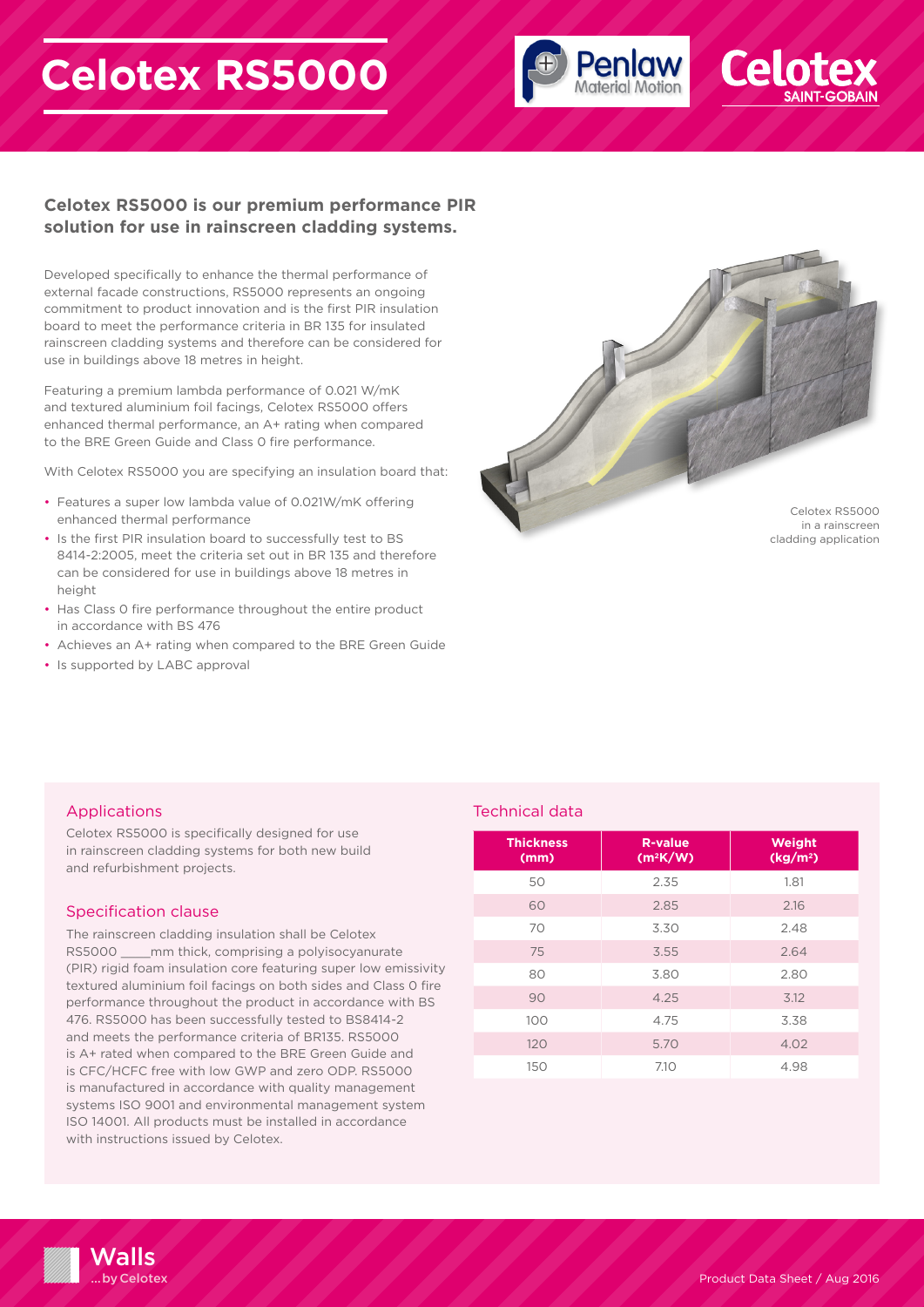# **Celotex RS5000**





## **Celotex RS5000 is our premium performance PIR solution for use in rainscreen cladding systems.**

Developed specifically to enhance the thermal performance of external facade constructions, RS5000 represents an ongoing commitment to product innovation and is the first PIR insulation board to meet the performance criteria in BR 135 for insulated rainscreen cladding systems and therefore can be considered for use in buildings above 18 metres in height.

Featuring a premium lambda performance of 0.021 W/mK and textured aluminium foil facings, Celotex RS5000 offers enhanced thermal performance, an A+ rating when compared to the BRE Green Guide and Class 0 fire performance.

With Celotex RS5000 you are specifying an insulation board that:

- Features a super low lambda value of 0.021W/mK offering enhanced thermal performance
- Is the first PIR insulation board to successfully test to BS 8414-2:2005, meet the criteria set out in BR 135 and therefore can be considered for use in buildings above 18 metres in height
- Has Class 0 fire performance throughout the entire product in accordance with BS 476
- Achieves an A+ rating when compared to the BRE Green Guide
- Is supported by LABC approval



cladding application

## Applications

Celotex RS5000 is specifically designed for use in rainscreen cladding systems for both new build and refurbishment projects.

#### Specification clause

The rainscreen cladding insulation shall be Celotex RS5000 mm thick, comprising a polyisocyanurate (PIR) rigid foam insulation core featuring super low emissivity textured aluminium foil facings on both sides and Class 0 fire performance throughout the product in accordance with BS 476. RS5000 has been successfully tested to BS8414-2 and meets the performance criteria of BR135. RS5000 is A+ rated when compared to the BRE Green Guide and is CFC/HCFC free with low GWP and zero ODP. RS5000 is manufactured in accordance with quality management systems ISO 9001 and environmental management system ISO 14001. All products must be installed in accordance with instructions issued by Celotex.

### Technical data

| <b>Thickness</b><br>(mm) | <b>R-value</b><br>$(m^2K/W)$ | Weight<br>(kg/m <sup>2</sup> ) |
|--------------------------|------------------------------|--------------------------------|
| 50                       | 2.35                         | 1.81                           |
| 60                       | 2.85                         | 2.16                           |
| 70                       | 3.30                         | 2.48                           |
| 75                       | 3.55                         | 2.64                           |
| 80                       | 3.80                         | 2.80                           |
| 90                       | 4.25                         | 3.12                           |
| 100                      | 4.75                         | 3.38                           |
| 120                      | 5.70                         | 4.02                           |
| 150                      | 7.10                         | 4.98                           |